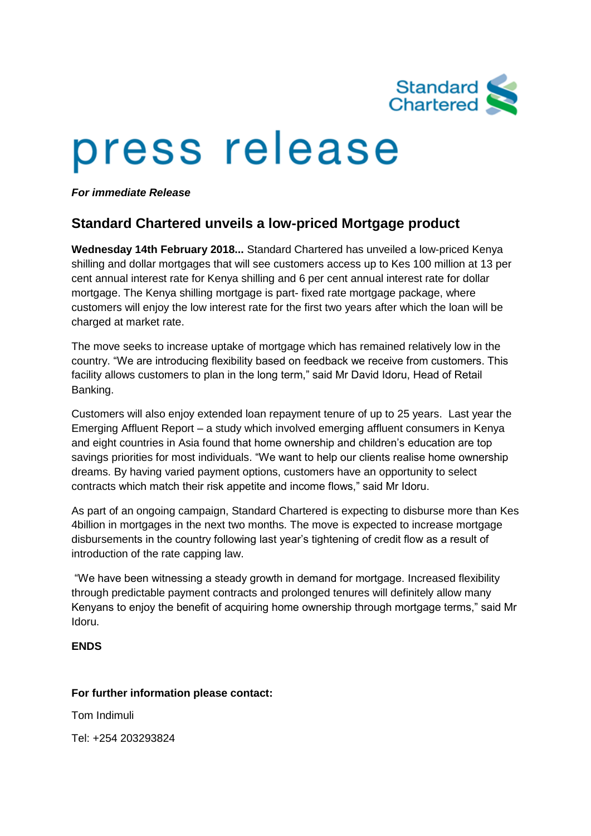

# press release

*For immediate Release*

## **Standard Chartered unveils a low-priced Mortgage product**

**Wednesday 14th February 2018...** Standard Chartered has unveiled a low-priced Kenya shilling and dollar mortgages that will see customers access up to Kes 100 million at 13 per cent annual interest rate for Kenya shilling and 6 per cent annual interest rate for dollar mortgage. The Kenya shilling mortgage is part- fixed rate mortgage package, where customers will enjoy the low interest rate for the first two years after which the loan will be charged at market rate.

The move seeks to increase uptake of mortgage which has remained relatively low in the country. "We are introducing flexibility based on feedback we receive from customers. This facility allows customers to plan in the long term," said Mr David Idoru, Head of Retail Banking.

Customers will also enjoy extended loan repayment tenure of up to 25 years. Last year the Emerging Affluent Report – a study which involved emerging affluent consumers in Kenya and eight countries in Asia found that home ownership and children's education are top savings priorities for most individuals. "We want to help our clients realise home ownership dreams. By having varied payment options, customers have an opportunity to select contracts which match their risk appetite and income flows," said Mr Idoru.

As part of an ongoing campaign, Standard Chartered is expecting to disburse more than Kes 4billion in mortgages in the next two months. The move is expected to increase mortgage disbursements in the country following last year's tightening of credit flow as a result of introduction of the rate capping law.

"We have been witnessing a steady growth in demand for mortgage. Increased flexibility through predictable payment contracts and prolonged tenures will definitely allow many Kenyans to enjoy the benefit of acquiring home ownership through mortgage terms," said Mr Idoru.

### **ENDS**

### **For further information please contact:**

Tom Indimuli

Tel: +254 203293824